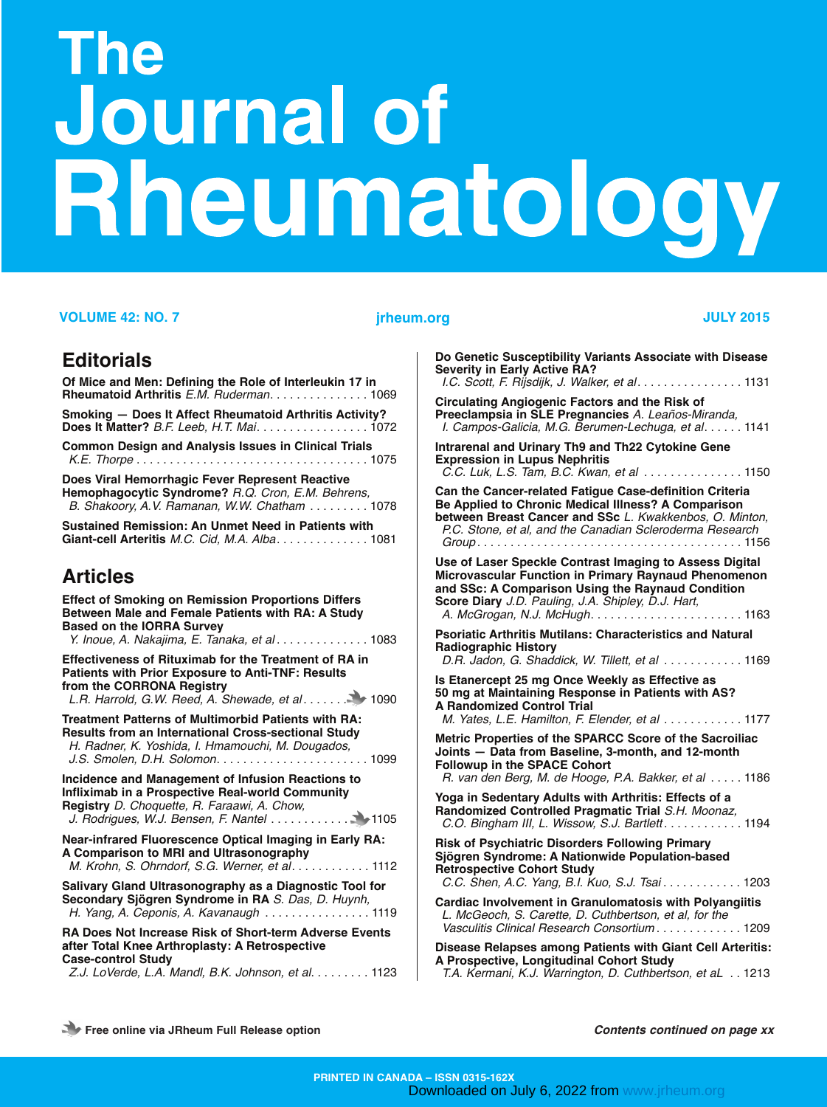# **The Journal of** Rheumatology

#### **VOLUME 42: NO. 7 JULY 2015 jrheum.org**

**Of Mice and Men: Defining the Role of Interleukin 17 in Rheumatoid Arthritis** *E.M. Ruderman*. . . . . . . . . . . . . . . 1069

**Smoking — Does It Affect Rheumatoid Arthritis Activity? Does It Matter?** *B.F. Leeb, H.T. Mai*. . . . . . . . . . . . . . . . . 1072

**Common Design and Analysis Issues in Clinical Trials**  *K.E. Thorpe* . . . . . . . . . . . . . . . . . . . . . . . . . . . . . . . . . . . 1075

**Does Viral Hemorrhagic Fever Represent Reactive Hemophagocytic Syndrome?** *R.Q. Cron, E.M. Behrens, B. Shakoory, A.V. Ramanan, W.W. Chatham* . . . . . . . . . 1078

**Sustained Remission: An Unmet Need in Patients with Giant-cell Arteritis** *M.C. Cid, M.A. Alba*. . . . . . . . . . . . . . 1081

## **Articles**

**Effect of Smoking on Remission Proportions Differs Between Male and Female Patients with RA: A Study Based on the IORRA Survey**  *Y. Inoue, A. Nakajima, E. Tanaka, et al* . . . . . . . . . . . . . . 1083 **Effectiveness of Rituximab for the Treatment of RA in Patients with Prior Exposure to Anti-TNF: Results from the CORRONA Registry**  *L.R. Harrold, G.W. Reed, A. Shewade, et al* . . . . . . . . . . 1090 **Treatment Patterns of Multimorbid Patients with RA: Results from an International Cross-sectional Study**  *H. Radner, K. Yoshida, I. Hmamouchi, M. Dougados, J.S. Smolen, D.H. Solomon*. . . . . . . . . . . . . . . . . . . . . . . 1099 **Incidence and Management of Infusion Reactions to Infliximab in a Prospective Real-world Community Registry** *D. Choquette, R. Faraawi, A. Chow, J. Rodrigues, W.J. Bensen, F. Nantel* . . . . . . . . . . . . . . . 1105 **Near-infrared Fluorescence Optical Imaging in Early RA: A Comparison to MRI and Ultrasonography**  *M. Krohn, S. Ohrndorf, S.G. Werner, et al*. . . . . . . . . . . . 1112 **Salivary Gland Ultrasonography as a Diagnostic Tool for Secondary Sjögren Syndrome in RA** *S. Das, D. Huynh, H. Yang, A. Ceponis, A. Kavanaugh* . . . . . . . . . . . . . . . . 1119 **RA Does Not Increase Risk of Short-term Adverse Events after Total Knee Arthroplasty: A Retrospective Case-control Study** 

*Z.J. LoVerde, L.A. Mandl, B.K. Johnson, et al*. . . . . . . . . 1123

| Do Genetic Susceptibility Variants Associate with Disease<br><b>Severity in Early Active RA?</b><br>I.C. Scott, F. Rijsdijk, J. Walker, et al. 1131                                                                                                        |
|------------------------------------------------------------------------------------------------------------------------------------------------------------------------------------------------------------------------------------------------------------|
| Circulating Angiogenic Factors and the Risk of<br>Preeclampsia in SLE Pregnancies A. Leaños-Miranda.<br>I. Campos-Galicia, M.G. Berumen-Lechuga, et al. 1141                                                                                               |
| Intrarenal and Urinary Th9 and Th22 Cytokine Gene<br><b>Expression in Lupus Nephritis</b><br>C.C. Luk, L.S. Tam, B.C. Kwan, et al 1150                                                                                                                     |
| Can the Cancer-related Fatigue Case-definition Criteria<br>Be Applied to Chronic Medical Illness? A Comparison<br>between Breast Cancer and SSc L. Kwakkenbos, O. Minton,<br>P.C. Stone, et al, and the Canadian Scleroderma Research                      |
| Use of Laser Speckle Contrast Imaging to Assess Digital<br>Microvascular Function in Primary Raynaud Phenomenon<br>and SSc: A Comparison Using the Raynaud Condition<br>Score Diary J.D. Pauling, J.A. Shipley, D.J. Hart,<br>A. McGrogan, N.J. McHugh1163 |
| <b>Psoriatic Arthritis Mutilans: Characteristics and Natural</b><br><b>Radiographic History</b><br>D.R. Jadon, G. Shaddick, W. Tillett, et al  1169                                                                                                        |
| Is Etanercept 25 mg Once Weekly as Effective as<br>50 mg at Maintaining Response in Patients with AS?<br><b>A Randomized Control Trial</b><br>M. Yates, L.E. Hamilton, F. Elender, et al  1177                                                             |
| Metric Properties of the SPARCC Score of the Sacroiliac<br>Joints - Data from Baseline, 3-month, and 12-month<br><b>Followup in the SPACE Cohort</b><br>R. van den Berg, M. de Hooge, P.A. Bakker, et al 1186                                              |
| Yoga in Sedentary Adults with Arthritis: Effects of a<br>Randomized Controlled Pragmatic Trial S.H. Moonaz,<br>C.O. Bingham III, L. Wissow, S.J. Bartlett 1194                                                                                             |
| <b>Risk of Psychiatric Disorders Following Primary</b><br>Sjögren Syndrome: A Nationwide Population-based<br><b>Retrospective Cohort Study</b><br>C.C. Shen, A.C. Yang, B.I. Kuo, S.J. Tsai 1203                                                           |
| Cardiac Involvement in Granulomatosis with Polyangiitis<br>L. McGeoch, S. Carette, D. Cuthbertson, et al, for the<br>Vasculitis Clinical Research Consortium1209                                                                                           |
| Disease Relapses among Patients with Giant Cell Arteritis:<br>A Prospective, Longitudinal Cohort Study                                                                                                                                                     |

*T.A. Kermani, K.J. Warrington, D. Cuthbertson, et aL* . . 1213

**Free online via JRheum Full Release option** 

*Contents continued on page xx*